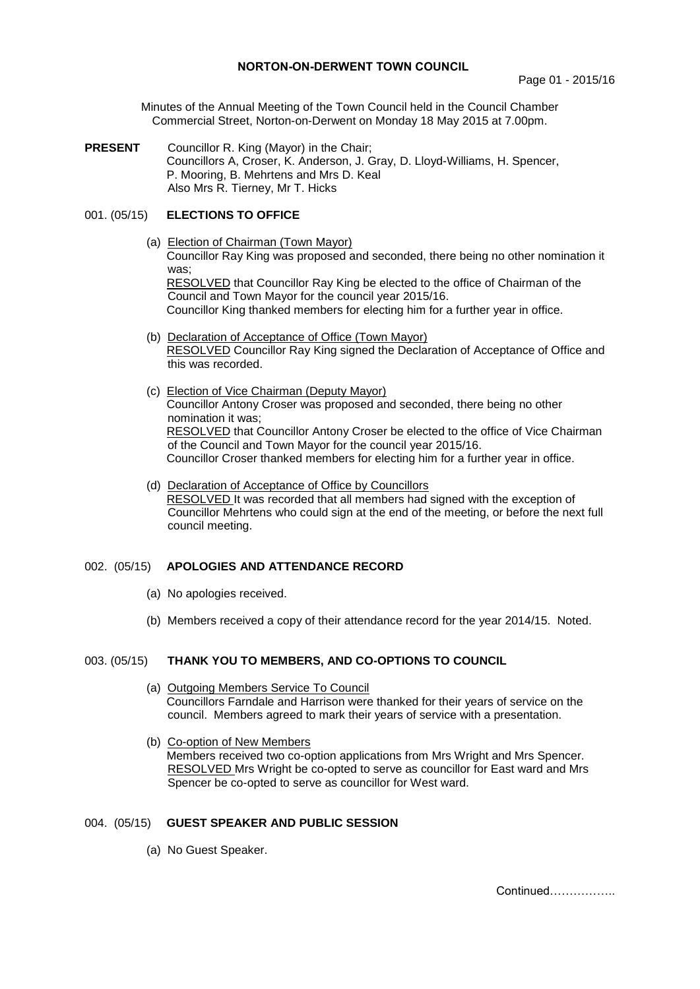## **NORTON-ON-DERWENT TOWN COUNCIL**

Minutes of the Annual Meeting of the Town Council held in the Council Chamber Commercial Street, Norton-on-Derwent on Monday 18 May 2015 at 7.00pm.

**PRESENT** Councillor R. King (Mayor) in the Chair; Councillors A, Croser, K. Anderson, J. Gray, D. Lloyd-Williams, H. Spencer, P. Mooring, B. Mehrtens and Mrs D. Keal Also Mrs R. Tierney, Mr T. Hicks

## 001. (05/15) **ELECTIONS TO OFFICE**

- (a) Election of Chairman (Town Mayor) Councillor Ray King was proposed and seconded, there being no other nomination it was; RESOLVED that Councillor Ray King be elected to the office of Chairman of the Council and Town Mayor for the council year 2015/16. Councillor King thanked members for electing him for a further year in office.
- (b) Declaration of Acceptance of Office (Town Mayor) RESOLVED Councillor Ray King signed the Declaration of Acceptance of Office and this was recorded.
- (c) Election of Vice Chairman (Deputy Mayor) Councillor Antony Croser was proposed and seconded, there being no other nomination it was; RESOLVED that Councillor Antony Croser be elected to the office of Vice Chairman of the Council and Town Mayor for the council year 2015/16. Councillor Croser thanked members for electing him for a further year in office.
- (d) Declaration of Acceptance of Office by Councillors RESOLVED It was recorded that all members had signed with the exception of Councillor Mehrtens who could sign at the end of the meeting, or before the next full council meeting.

## 002. (05/15) **APOLOGIES AND ATTENDANCE RECORD**

- (a) No apologies received.
- (b) Members received a copy of their attendance record for the year 2014/15. Noted.

# 003. (05/15) **THANK YOU TO MEMBERS, AND CO-OPTIONS TO COUNCIL**

- (a) Outgoing Members Service To Council Councillors Farndale and Harrison were thanked for their years of service on the council. Members agreed to mark their years of service with a presentation.
- (b) Co-option of New Members Members received two co-option applications from Mrs Wright and Mrs Spencer. RESOLVED Mrs Wright be co-opted to serve as councillor for East ward and Mrs Spencer be co-opted to serve as councillor for West ward.

#### 004. (05/15) **GUEST SPEAKER AND PUBLIC SESSION**

(a)No Guest Speaker.

Continued……………..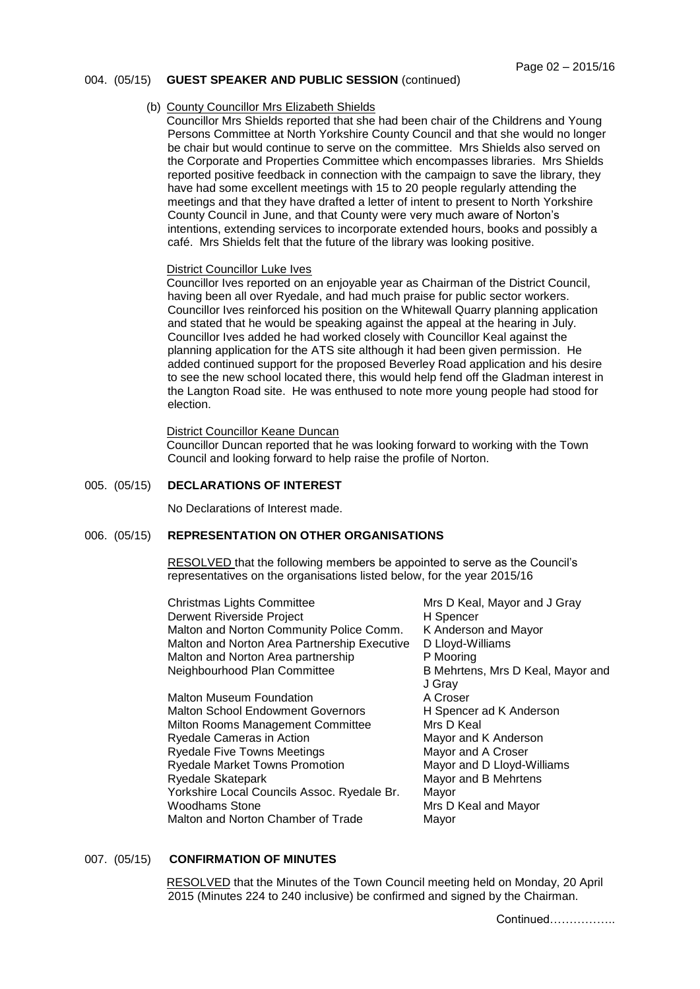#### 004. (05/15) **GUEST SPEAKER AND PUBLIC SESSION** (continued)

#### (b) County Councillor Mrs Elizabeth Shields

Councillor Mrs Shields reported that she had been chair of the Childrens and Young Persons Committee at North Yorkshire County Council and that she would no longer be chair but would continue to serve on the committee. Mrs Shields also served on the Corporate and Properties Committee which encompasses libraries. Mrs Shields reported positive feedback in connection with the campaign to save the library, they have had some excellent meetings with 15 to 20 people regularly attending the meetings and that they have drafted a letter of intent to present to North Yorkshire County Council in June, and that County were very much aware of Norton's intentions, extending services to incorporate extended hours, books and possibly a café. Mrs Shields felt that the future of the library was looking positive.

#### District Councillor Luke Ives

Councillor Ives reported on an enjoyable year as Chairman of the District Council, having been all over Ryedale, and had much praise for public sector workers. Councillor Ives reinforced his position on the Whitewall Quarry planning application and stated that he would be speaking against the appeal at the hearing in July. Councillor Ives added he had worked closely with Councillor Keal against the planning application for the ATS site although it had been given permission. He added continued support for the proposed Beverley Road application and his desire to see the new school located there, this would help fend off the Gladman interest in the Langton Road site. He was enthused to note more young people had stood for election.

#### District Councillor Keane Duncan

Councillor Duncan reported that he was looking forward to working with the Town Council and looking forward to help raise the profile of Norton.

## 005. (05/15) **DECLARATIONS OF INTEREST**

No Declarations of Interest made.

# 006. (05/15) **REPRESENTATION ON OTHER ORGANISATIONS**

RESOLVED that the following members be appointed to serve as the Council's representatives on the organisations listed below, for the year 2015/16

Christmas Lights Committee Mrs D Keal, Mayor and J Gray Derwent Riverside Project **H** Spencer Malton and Norton Community Police Comm. K Anderson and Mayor Malton and Norton Area Partnership Executive D Lloyd-Williams Malton and Norton Area partnership P Mooring Neighbourhood Plan Committee B Mehrtens, Mrs D Keal, Mayor and

Malton Museum Foundation **A Croser** Malton School Endowment Governors H Spencer ad K Anderson Milton Rooms Management Committee Mrs D Keal Ryedale Cameras in Action Mayor and K Anderson Ryedale Five Towns Meetings Mayor and A Croser Ryedale Market Towns Promotion Mayor and D Lloyd-Williams Ryedale Skatepark Mayor and B Mehrtens Yorkshire Local Councils Assoc. Ryedale Br. Mayor Woodhams Stone Mrs D Keal and Mayor Malton and Norton Chamber of Trade Mayor

J Gray

### 007. (05/15) **CONFIRMATION OF MINUTES**

 RESOLVED that the Minutes of the Town Council meeting held on Monday, 20 April 2015 (Minutes 224 to 240 inclusive) be confirmed and signed by the Chairman.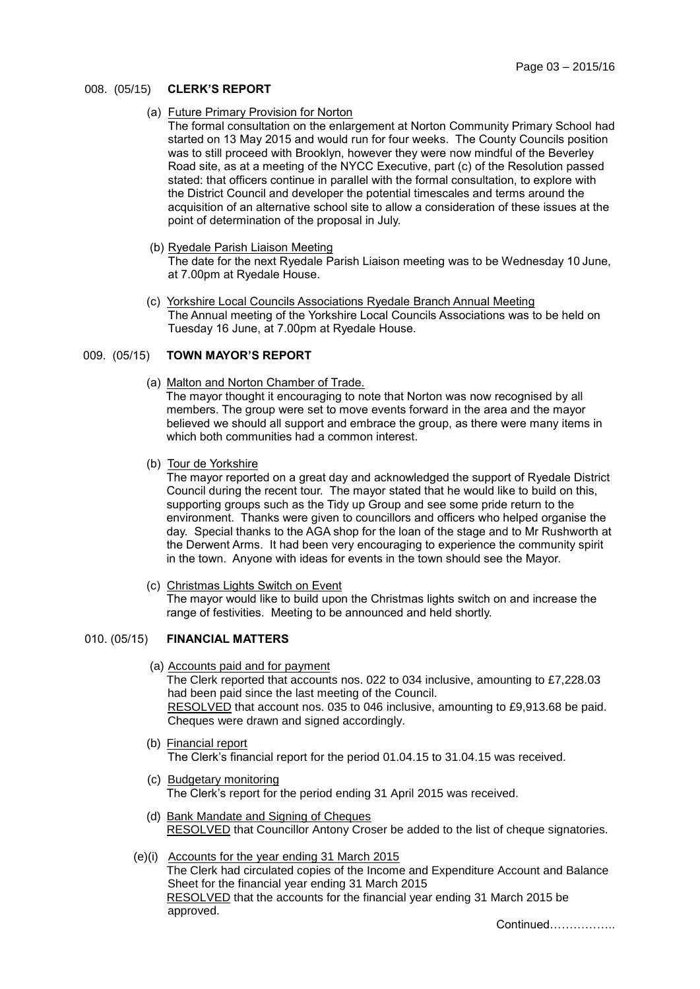## 008. (05/15) **CLERK'S REPORT**

(a) Future Primary Provision for Norton

The formal consultation on the enlargement at Norton Community Primary School had started on 13 May 2015 and would run for four weeks. The County Councils position was to still proceed with Brooklyn, however they were now mindful of the Beverley Road site, as at a meeting of the NYCC Executive, part (c) of the Resolution passed stated: that officers continue in parallel with the formal consultation, to explore with the District Council and developer the potential timescales and terms around the acquisition of an alternative school site to allow a consideration of these issues at the point of determination of the proposal in July.

(b) Ryedale Parish Liaison Meeting

The date for the next Ryedale Parish Liaison meeting was to be Wednesday 10 June, at 7.00pm at Ryedale House.

 (c) Yorkshire Local Councils Associations Ryedale Branch Annual Meeting The Annual meeting of the Yorkshire Local Councils Associations was to be held on Tuesday 16 June, at 7.00pm at Ryedale House.

## 009. (05/15) **TOWN MAYOR'S REPORT**

(a) Malton and Norton Chamber of Trade.

 The mayor thought it encouraging to note that Norton was now recognised by all members. The group were set to move events forward in the area and the mayor believed we should all support and embrace the group, as there were many items in which both communities had a common interest.

(b) Tour de Yorkshire

The mayor reported on a great day and acknowledged the support of Ryedale District Council during the recent tour. The mayor stated that he would like to build on this, supporting groups such as the Tidy up Group and see some pride return to the environment. Thanks were given to councillors and officers who helped organise the day. Special thanks to the AGA shop for the loan of the stage and to Mr Rushworth at the Derwent Arms. It had been very encouraging to experience the community spirit in the town. Anyone with ideas for events in the town should see the Mayor.

(c) Christmas Lights Switch on Event

The mayor would like to build upon the Christmas lights switch on and increase the range of festivities. Meeting to be announced and held shortly.

## 010. (05/15) **FINANCIAL MATTERS**

(a) Accounts paid and for payment

The Clerk reported that accounts nos. 022 to 034 inclusive, amounting to £7,228.03 had been paid since the last meeting of the Council. RESOLVED that account nos. 035 to 046 inclusive, amounting to £9,913.68 be paid. Cheques were drawn and signed accordingly.

- (b) Financial report The Clerk's financial report for the period 01.04.15 to 31.04.15 was received.
- (c) Budgetary monitoring The Clerk's report for the period ending 31 April 2015 was received.
- (d) Bank Mandate and Signing of Cheques RESOLVED that Councillor Antony Croser be added to the list of cheque signatories.
- (e)(i) Accounts for the year ending 31 March 2015 The Clerk had circulated copies of the Income and Expenditure Account and Balance Sheet for the financial year ending 31 March 2015 RESOLVED that the accounts for the financial year ending 31 March 2015 be approved.

Continued……………..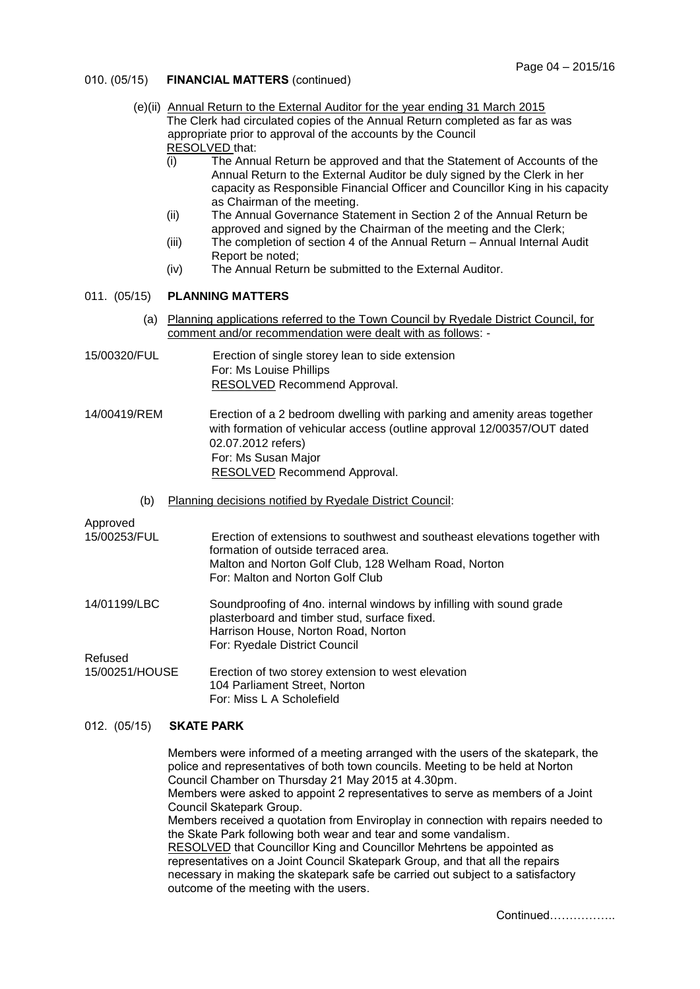- 010. (05/15) **FINANCIAL MATTERS** (continued)
	- (e)(ii) Annual Return to the External Auditor for the year ending 31 March 2015 The Clerk had circulated copies of the Annual Return completed as far as was appropriate prior to approval of the accounts by the Council RESOLVED that:
		- (i) The Annual Return be approved and that the Statement of Accounts of the Annual Return to the External Auditor be duly signed by the Clerk in her capacity as Responsible Financial Officer and Councillor King in his capacity as Chairman of the meeting.
		- (ii) The Annual Governance Statement in Section 2 of the Annual Return be approved and signed by the Chairman of the meeting and the Clerk;
		- (iii) The completion of section 4 of the Annual Return Annual Internal Audit Report be noted;
		- (iv) The Annual Return be submitted to the External Auditor.

## 011. (05/15) **PLANNING MATTERS**

- (a) Planning applications referred to the Town Council by Ryedale District Council, for comment and/or recommendation were dealt with as follows: -
- 15/00320/FUL Erection of single storey lean to side extension For: Ms Louise Phillips RESOLVED Recommend Approval.
- 14/00419/REM Erection of a 2 bedroom dwelling with parking and amenity areas together with formation of vehicular access (outline approval 12/00357/OUT dated 02.07.2012 refers) For: Ms Susan Major RESOLVED Recommend Approval.
	- (b) Planning decisions notified by Ryedale District Council:

#### Approved

| 15/00253/FUL   | Erection of extensions to southwest and southeast elevations together with<br>formation of outside terraced area.<br>Malton and Norton Golf Club, 128 Welham Road, Norton                    |
|----------------|----------------------------------------------------------------------------------------------------------------------------------------------------------------------------------------------|
|                | For: Malton and Norton Golf Club                                                                                                                                                             |
| 14/01199/LBC   | Soundproofing of 4no. internal windows by infilling with sound grade<br>plasterboard and timber stud, surface fixed.<br>Harrison House, Norton Road, Norton<br>For: Ryedale District Council |
| Refused        |                                                                                                                                                                                              |
| 15/00251/HOUSE | Erection of two storey extension to west elevation<br>104 Parliament Street, Norton<br>For: Miss L A Scholefield                                                                             |

#### 012. (05/15) **SKATE PARK**

Members were informed of a meeting arranged with the users of the skatepark, the police and representatives of both town councils. Meeting to be held at Norton Council Chamber on Thursday 21 May 2015 at 4.30pm. Members were asked to appoint 2 representatives to serve as members of a Joint Council Skatepark Group. Members received a quotation from Enviroplay in connection with repairs needed to the Skate Park following both wear and tear and some vandalism. RESOLVED that Councillor King and Councillor Mehrtens be appointed as representatives on a Joint Council Skatepark Group, and that all the repairs necessary in making the skatepark safe be carried out subject to a satisfactory outcome of the meeting with the users.

Continued……………..